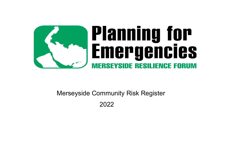

# Merseyside Community Risk Register

2022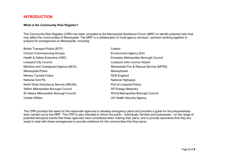### **INTRODUCTION**

#### **What is the Community Risk Register?**

The Community Risk Register (CRR) has been compiled by the Merseyside Resilience Forum (MRF) to identify potential risks that may affect the communities of Merseyside. The MRF is a collaboration of multi-agency services / partners working together to prepare for emergencies on Merseyside, including:

| <b>British Transport Police (BTP)</b>  | Cadent                                  |
|----------------------------------------|-----------------------------------------|
| <b>Clinical Commissioning Groups</b>   | Environment Agency (EA)                 |
| Health & Safety Executive (HSE)        | Knowsley Metropolitan Borough Council   |
| <b>Liverpool City Council</b>          | Liverpool John Lennon Airport           |
| Maritime and Coastguard Agency (MCA)   | Merseyside Fire & Rescue Service (MFRS) |
| Merseyside Police                      | Merseytravel                            |
| <b>Mersey Tunnels Police</b>           | <b>NHS England</b>                      |
| <b>National Grid Plc</b>               | <b>National Highways</b>                |
| North West Ambulance Service (NWAS)    | Port of Liverpool Police                |
| Sefton Metropolitan Borough Council    | <b>SP Energy Networks</b>               |
| St Helens Metropolitan Borough Council | Wirral Metropolitan Borough Council     |
| <b>United Utilities</b>                | <b>UK Health Security Agency</b>        |

The CRR provides the basis for the responder agencies to develop emergency plans and provides a guide for the preparedness work carried out by the MRF. The CRR is also intended to inform the public - individuals, families and businesses - on the range of potential disruptive events that these agencies have considered when making their plans, and to provide assurance that they are ready to deal with these emergencies to provide resilience for the communities that they serve.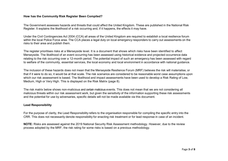#### **How has the Community Risk Register Been Compiled?**

The Government assesses hazards and threats that could affect the United Kingdom. These are published in the National Risk Register. It explains the likelihood of a risk occurring and, if it happens, the effects it may have.

Under the Civil Contingencies Act 2004 (CCA) all areas of the United Kingdom are required to establish a local resilience forum within the local Police Force area. The CCA places a legal duty on local emergency responders to carry out assessments on the risks to their area and publish them.

The register prioritises risks at a Merseyside level. It is a document that shows which risks have been identified to affect Merseyside. The likelihood of an event occurring has been assessed using historical evidence and projected occurrence data relating to the risk occurring over a 12-month period. The potential impact of such an emergency has been assessed with regard to welfare of the community, essential services, the local economy and local environment in accordance with national guidance.

The inclusion of these hazards does not mean that the Merseyside Resilience Forum (MRF) believes the risk will materialise, or that if it were to do so, it would be at that scale. The risk scenarios are considered to be reasonable worst case assumptions upon which our risk assessment is based. The likelihood and impact assessments have been used to develop a Risk Rating of Low, Medium, High or Very High. This is displayed on the Risk Matrix (page 8).

The risk matrix below shows non-malicious and certain malicious events. This does not mean that we are not considering all malicious threats within our risk assessment work, but given the sensitivity of the information supporting these risk assessments and the potential for use by adversaries, specific details will not be made available via this document.

#### **Lead Responsibility**

For the purpose of clarity, the Lead Responsibility refers to the organisation responsible for compiling the specific entry into the CRR. This does not necessarily denote responsibility for enacting risk treatment or for lead response in case of an incident.

**NOTE:** Risks are assessed against the 2019 National Security Risk Assessment methodology. However, due to the review process adopted by the MRF, the risk rating for some risks is based on a previous methodology.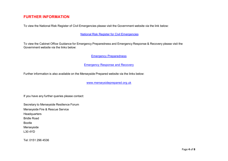## **FURTHER INFORMATION**

To view the National Risk Register of Civil Emergencies please visit the Government website via the link below:

National Risk Register for Civil [Emergencies](https://www.gov.uk/government/publications/national-risk-register-2020)

To view the Cabinet Office Guidance for Emergency Preparedness and Emergency Response & Recovery please visit the Government website via the links below:

[Emergency Preparedness](https://www.gov.uk/government/publications/emergency-preparedness)

**[Emergency Response and Recovery](https://www.gov.uk/government/publications/emergency-response-and-recovery)** 

Further information is also available on the Merseyside Prepared website via the links below:

[www.merseysideprepared.org.uk](http://www.merseysideprepared.org.uk/)

If you have any further queries please contact:

Secretary to Merseyside Resilience Forum

Merseyside Fire & Rescue Service

**Headquarters** 

Bridle Road

Bootle

Merseyside

L30 4YD

Tel: 0151 296 4536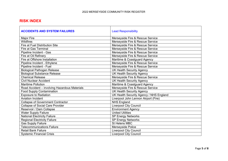## **RISK INDEX**

| <b>ACCIDENTS AND SYSTEM FAILURES</b>          | <b>Lead Responsibility</b>              |
|-----------------------------------------------|-----------------------------------------|
| <b>Major Fire</b>                             | Merseyside Fire & Rescue Service        |
| <b>Wildfires</b>                              | Merseyside Fire & Rescue Service        |
| <b>Fire at Fuel Distribution Site</b>         | Merseyside Fire & Rescue Service        |
| <b>Fire at Gas Terminal</b>                   | Merseyside Fire & Rescue Service        |
| Pipeline Incident - Gas                       | Merseyside Fire & Rescue Service        |
| Fire at Oil Refinery                          | Merseyside Fire & Rescue Service        |
| Fire at Offshore Installation                 | Maritime & Coastguard Agency            |
| Pipeline Incident - Ethylene                  | Merseyside Fire & Rescue Service        |
| Pipeline Incident - Fuel                      | Merseyside Fire & Rescue Service        |
| <b>Biological Pathogen Release</b>            | <b>UK Health Security Agency</b>        |
| <b>Biological Substance Release</b>           | <b>UK Health Security Agency</b>        |
| <b>Chemical Release</b>                       | Merseyside Fire & Rescue Service        |
| <b>Civil Nuclear Accident</b>                 | <b>UK Health Security Agency</b>        |
| <b>Maritime Pollution</b>                     | Maritime & Coastguard Agency            |
| Road Accident - involving Hazardous Materials | Merseyside Fire & Rescue Service        |
| <b>Food Supply Contamination</b>              | <b>UK Health Security Agency</b>        |
| <b>Exposure to Radiation</b>                  | UK Health Security Agency / NHS England |
| <b>Aviation Incident</b>                      | Liverpool John Lennon Airport (Fire)    |
| <b>Collapse of Government Contractor</b>      | <b>NHS England</b>                      |
| <b>Collapse of Social Care Provider</b>       | <b>Liverpool City Council</b>           |
| Reservoir / Dam Collapse                      | <b>Environment Agency</b>               |
| <b>Water Supply Failure</b>                   | <b>United Utilities</b>                 |
| National Electricity Failure                  | <b>SP Energy Networks</b>               |
| <b>Regional Electricity Failure</b>           | <b>SP Energy Networks</b>               |
| <b>Gas Supply Failure</b>                     | St Helens MBC                           |
| <b>Telecommunications Failure</b>             | Merseyside Police                       |
| <b>Retail Bank Failure</b>                    | <b>Liverpool City Council</b>           |
| <b>Systemic Financial Crisis</b>              | <b>Liverpool City Council</b>           |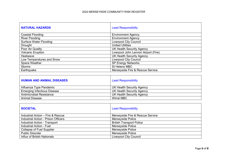| <b>NATURAL HAZARDS</b>        | <b>Lead Responsibility</b>           |
|-------------------------------|--------------------------------------|
| Coastal Flooding              | <b>Environment Agency</b>            |
| <b>River Flooding</b>         | <b>Environment Agency</b>            |
| <b>Surface Water Flooding</b> | <b>Liverpool City Council</b>        |
| Drought                       | <b>United Utilities</b>              |
| Poor Air Quality              | <b>UK Health Security Agency</b>     |
| <b>Volcanic Eruption</b>      | Liverpool John Lennon Airport (Fire) |
| Heatwave                      | <b>UK Health Security Agency</b>     |
| Low Temperatures and Snow     | <b>Liverpool City Council</b>        |
| Space Weather                 | <b>SP Energy Networks</b>            |
| <b>Storms</b>                 | St Helens MBC                        |
| Earthquake                    | Merseyside Fire & Rescue Service     |

| <b>HUMAN AND ANIMAL DISEASES</b>   | <b>Lead Responsibility</b>       |
|------------------------------------|----------------------------------|
| Influenza Type Pandemic            | UK Health Security Agency        |
| <b>Emerging Infectious Disease</b> | <b>UK Health Security Agency</b> |
| Antimicrobial Resistance           | <b>UK Health Security Agency</b> |
| <b>Animal Disease</b>              | <b>Wirral MBC</b>                |

| <b>SOCIETAL</b>                     | <b>Lead Responsibility</b>       |
|-------------------------------------|----------------------------------|
| Industrial Action - Fire & Rescue   | Merseyside Fire & Rescue Service |
| Industrial Action - Prison Officers | Merseyside Police                |
| Industrial Action - Transport       | <b>British Transport Police</b>  |
| Industrial Action - Fuel            | Merseyside Police                |
| <b>Collapse of Fuel Supplier</b>    | Merseyside Police                |
| <b>Public Disorder</b>              | Merseyside Police                |
| <b>Influx of British Nationals</b>  | <b>Liverpool City Council</b>    |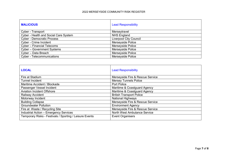| <b>MALICIOUS</b>                      | <b>Lead Responsibility</b>    |
|---------------------------------------|-------------------------------|
| Cyber - Transport                     | Merseytravel                  |
| Cyber - Health and Social Care System | <b>NHS England</b>            |
| <b>Cyber - Democratic Process</b>     | <b>Liverpool City Council</b> |
| Cyber - Crime Incident                | <b>Merseyside Police</b>      |
| Cyber - Financial Telecoms            | Merseyside Police             |
| <b>Cyber - Government Systems</b>     | Merseyside Police             |
| Cyber - Data Breach                   | Merseyside Police             |
| <b>Cyber - Telecommunications</b>     | Merseyside Police             |

| <b>LOCAL</b>                                            | <b>Lead Responsibility</b>       |
|---------------------------------------------------------|----------------------------------|
| Fire at Stadium                                         | Merseyside Fire & Rescue Service |
| <b>Tunnel Incident</b>                                  | <b>Mersey Tunnels Police</b>     |
| Maritime Accident / Blockade                            | <b>Port Police</b>               |
| Passenger Vessel Incident                               | Maritime & Coastguard Agency     |
| <b>Aviation Incident Offshore</b>                       | Maritime & Coastguard Agency     |
| Railway Accident                                        | <b>British Transport Police</b>  |
| Motorway Incident                                       | <b>National Highways</b>         |
| <b>Building Collapse</b>                                | Merseyside Fire & Rescue Service |
| <b>Groundwater Pollution</b>                            | <b>Environment Agency</b>        |
| Fire at Waste / Recycling Site                          | Merseyside Fire & Rescue Service |
| <b>Industrial Action - Emergency Services</b>           | North West Ambulance Service     |
| Temporary Risks - Festivals / Sporting / Leisure Events | <b>Event Organisers</b>          |